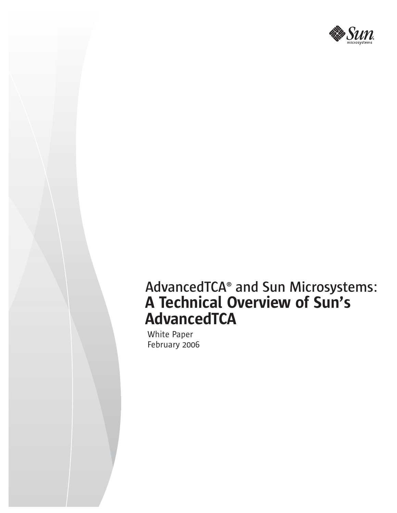

# **AdvancedTCA® and Sun Microsystems:** A Technical Overview of Sun's **AdvancedTCA**

White Paper February 2006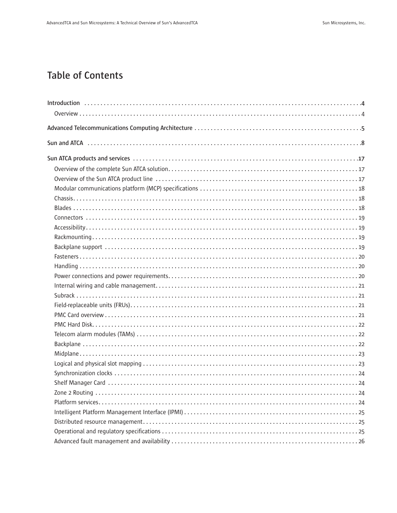# **Table of Contents**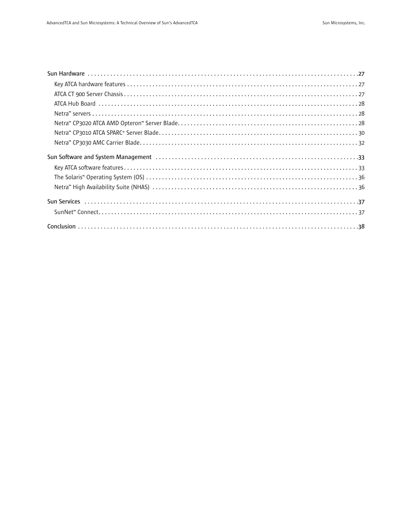| Sun Software and System Management (and the content of the content of the content of the content of the content of the content of the content of the content of the content of the content of the content of the content of th |  |
|--------------------------------------------------------------------------------------------------------------------------------------------------------------------------------------------------------------------------------|--|
|                                                                                                                                                                                                                                |  |
|                                                                                                                                                                                                                                |  |
|                                                                                                                                                                                                                                |  |
|                                                                                                                                                                                                                                |  |
|                                                                                                                                                                                                                                |  |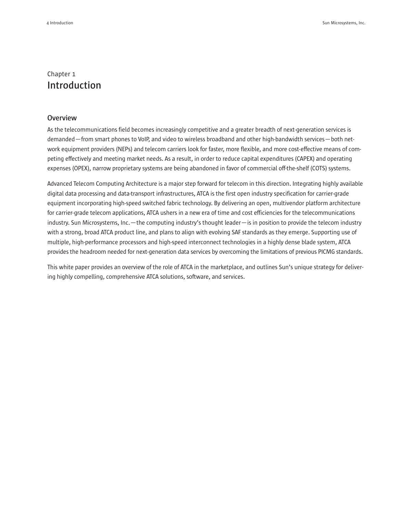# Chapter 1 **Introduction**

#### **Overview**

As the telecommunications field becomes increasingly competitive and a greater breadth of next-generation services is demanded—from smart phones to VoIP, and video to wireless broadband and other high-bandwidth services—both network equipment providers (NEPs) and telecom carriers look for faster, more flexible, and more cost-effective means of competing effectively and meeting market needs. As a result, in order to reduce capital expenditures (CAPEX) and operating expenses (OPEX), narrow proprietary systems are being abandoned in favor of commercial off-the-shelf (COTS) systems.

Advanced Telecom Computing Architecture is a major step forward for telecom in this direction. Integrating highly available digital data processing and data-transport infrastructures, ATCA is the first open industry specification for carrier-grade equipment incorporating high-speed switched fabric technology. By delivering an open, multivendor platform architecture for carrier-grade telecom applications, ATCA ushers in a new era of time and cost efficiencies for the telecommunications industry. Sun Microsystems, Inc.—the computing industry's thought leader—is in position to provide the telecom industry with a strong, broad ATCA product line, and plans to align with evolving SAF standards as they emerge. Supporting use of multiple, high-performance processors and high-speed interconnect technologies in a highly dense blade system, ATCA provides the headroom needed for next-generation data services by overcoming the limitations of previous PICMG standards.

This white paper provides an overview of the role of ATCA in the marketplace, and outlines Sun's unique strategy for delivering highly compelling, comprehensive ATCA solutions, software, and services.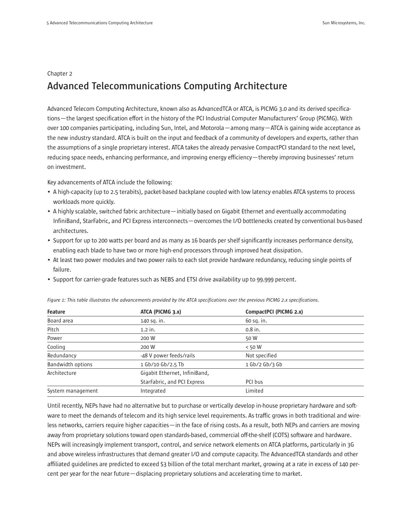#### Chapter 2

# **Advanced Telecommunications Computing Architecture**

Advanced Telecom Computing Architecture, known also as AdvancedTCA or ATCA, is PICMG 3.0 and its derived specifications—the largest specification effort in the history of the PCI Industrial Computer Manufacturers' Group (PICMG). With over 100 companies participating, including Sun, Intel, and Motorola—among many—ATCA is gaining wide acceptance as the new industry standard. ATCA is built on the input and feedback of a community of developers and experts, rather than the assumptions of a single proprietary interest. ATCA takes the already pervasive CompactPCI standard to the next level, reducing space needs, enhancing performance, and improving energy efficiency—thereby improving businesses' return on investment.

Key advancements of ATCA include the following:

- A high-capacity (up to 2.5 terabits), packet-based backplane coupled with low latency enables ATCA systems to process workloads more quickly.
- A highly scalable, switched fabric architecture—initially based on Gigabit Ethernet and eventually accommodating InfiniBand, StarFabric, and PCI Express interconnects—overcomes the I/O bottlenecks created by conventional bus-based architectures.
- Support for up to 200 watts per board and as many as 16 boards per shelf significantly increases performance density, enabling each blade to have two or more high-end processors through improved heat dissipation.
- At least two power modules and two power rails to each slot provide hardware redundancy, reducing single points of failure.
- Support for carrier-grade features such as NEBS and ETSI drive availability up to 99.999 percent.

| ATCA (PICMG 3.x)<br>Feature |                                          | CompactPCI (PICMG 2.x) |  |
|-----------------------------|------------------------------------------|------------------------|--|
| Board area                  | 140 sq. in.                              | 60 sq. in.             |  |
| Pitch                       | $1.2$ in.                                | $0.8$ in.              |  |
| Power                       | 200 W<br>50 W                            |                        |  |
| Cooling                     | $<$ 50 W<br>200 W                        |                        |  |
| Redundancy                  | Not specified<br>-48 V power feeds/rails |                        |  |
| <b>Bandwidth options</b>    | 1 Gb/10 Gb/2.5 Tb<br>$1$ Gb/2 Gb/3 Gb    |                        |  |
| Architecture                | Gigabit Ethernet, InfiniBand,            |                        |  |
|                             | StarFabric, and PCI Express              | PCI bus                |  |
| System management           | Limited<br>Integrated                    |                        |  |

*Figure 1: This table illustrates the advancements provided by the ATCA specifications over the previous PICMG 2.x specifications.*

Until recently, NEPs have had no alternative but to purchase or vertically develop in-house proprietary hardware and software to meet the demands of telecom and its high service level requirements. As traffic grows in both traditional and wireless networks, carriers require higher capacities—in the face of rising costs. As a result, both NEPs and carriers are moving away from proprietary solutions toward open standards-based, commercial off-the-shelf (COTS) software and hardware. NEPs will increasingly implement transport, control, and service network elements on ATCA platforms, particularly in 3G and above wireless infrastructures that demand greater I/O and compute capacity. The AdvancedTCA standards and other affiliated quidelines are predicted to exceed \$3 billion of the total merchant market, growing at a rate in excess of 140 percent per year for the near future—displacing proprietary solutions and accelerating time to market.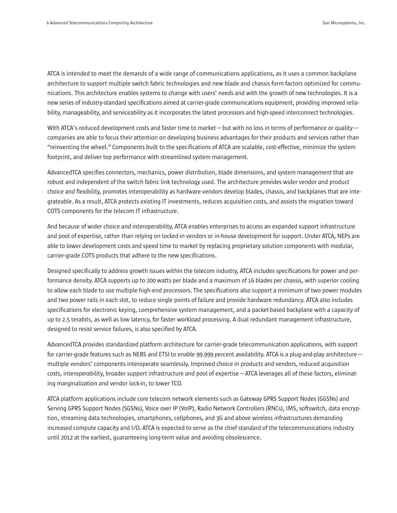ATCA is intended to meet the demands of a wide range of communications applications, as it uses a common backplane architecture to support multiple switch fabric technologies and new blade and chassis form factors optimized for communications. This architecture enables systems to change with users' needs and with the growth of new technologies. It is a new series of industry-standard specifications aimed at carrier-grade communications equipment, providing improved reliability, manageability, and serviceability as it incorporates the latest processors and high-speed interconnect technologies.

With ATCA's reduced development costs and faster time to market—but with no loss in terms of performance or quality companies are able to focus their attention on developing business advantages for their products and services rather than "reinventing the wheel." Components built to the specifications of ATCA are scalable, cost-effective, minimize the system footprint, and deliver top performance with streamlined system management.

AdvancedTCA specifies connectors, mechanics, power distribution, blade dimensions, and system management that are robust and independent of the switch fabric link technology used. The architecture provides wider vendor and product choice and flexibility, promotes interoperability as hardware vendors develop blades, chassis, and backplanes that are integrateable. As a result, ATCA protects existing IT investments, reduces acquisition costs, and assists the migration toward COTS components for the telecom IT infrastructure.

And because of wider choice and interoperability, ATCA enables enterprises to access an expanded support infrastructure and pool of expertise, rather than relying on locked-in vendors or in-house development for support. Under ATCA, NEPs are able to lower development costs and speed time to market by replacing proprietary solution components with modular, carrier-grade COTS products that adhere to the new specifications.

Designed specifically to address growth issues within the telecom industry, ATCA includes specifications for power and performance density. ATCA supports up to 200 watts per blade and a maximum of 16 blades per chassis, with superior cooling to allow each blade to use multiple high-end processors. The specifications also support a minimum of two power modules and two power rails in each slot, to reduce single points of failure and provide hardware redundancy. ATCA also includes specifications for electronic keying, comprehensive system management, and a packet-based backplane with a capacity of up to 2.5 terabits, as well as low latency, for faster workload processing. A dual redundant management infrastructure, designed to resist service failures, is also specified by ATCA.

AdvancedTCA provides standardized platform architecture for carrier-grade telecommunication applications, with support for carrier-grade features such as NEBS and ETSI to enable 99.999 percent availability. ATCA is a plug-and-play architecture multiple vendors' components interoperate seamlessly. Improved choice in products and vendors, reduced acquisition costs, interoperability, broader support infrastructure and pool of expertise—ATCA leverages all of these factors, eliminating marginalization and vendor lock-in, to lower TCO.

ATCA platform applications include core telecom network elements such as Gateway GPRS Support Nodes (GGSNs) and Serving GPRS Support Nodes (SGSNs), Voice over IP (VoIP), Radio Network Controllers (RNCs), IMS, softswitch, data encryption, streaming data technologies, smartphones, cellphones, and 3G and above wireless infrastructures demanding increased compute capacity and I/O. ATCA is expected to serve as the chief standard of the telecommunications industry until 2012 at the earliest, guaranteeing long-term value and avoiding obsolescence.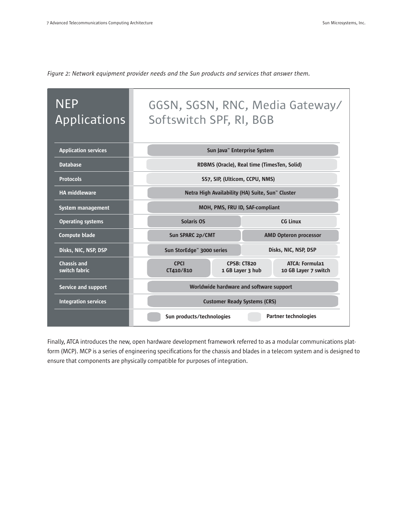| <b>NEP</b><br><b>Applications</b>   | Softswitch SPF, RI, BGB                 | GGSN, SGSN, RNC, Media Gateway/                                                  |  |  |
|-------------------------------------|-----------------------------------------|----------------------------------------------------------------------------------|--|--|
| <b>Application services</b>         |                                         | Sun Java" Enterprise System                                                      |  |  |
| <b>Database</b>                     |                                         | RDBMS (Oracle), Real time (TimesTen, Solid)                                      |  |  |
| <b>Protocols</b>                    |                                         | SS7, SIP, (Ulticom, CCPU, NMS)                                                   |  |  |
| <b>HA middleware</b>                |                                         | Netra High Availability (HA) Suite, Sun <sup>**</sup> Cluster                    |  |  |
| System management                   | MOH, PMS, FRU ID, SAF-compliant         |                                                                                  |  |  |
| <b>Operating systems</b>            | <b>CG Linux</b><br><b>Solaris OS</b>    |                                                                                  |  |  |
| <b>Compute blade</b>                | Sun SPARC 2p/CMT                        | <b>AMD Opteron processor</b>                                                     |  |  |
| Disks, NIC, NSP, DSP                | Sun StorEdge <sup>™</sup> 3000 series   | Disks, NIC, NSP, DSP                                                             |  |  |
| <b>Chassis and</b><br>switch fabric | <b>CPCI</b><br>CT410/810                | <b>ATCA: Formula1</b><br>CPSB: CT820<br>1 GB Layer 3 hub<br>10 GB Layer 7 switch |  |  |
| Service and support                 | Worldwide hardware and software support |                                                                                  |  |  |
| <b>Integration services</b>         | <b>Customer Ready Systems (CRS)</b>     |                                                                                  |  |  |
|                                     | Sun products/technologies               | <b>Partner technologies</b>                                                      |  |  |

*Figure 2: Network equipment provider needs and the Sun products and services that answer them.*

Finally, ATCA introduces the new, open hardware development framework referred to as a modular communications platform (MCP). MCP is a series of engineering specifications for the chassis and blades in a telecom system and is designed to ensure that components are physically compatible for purposes of integration.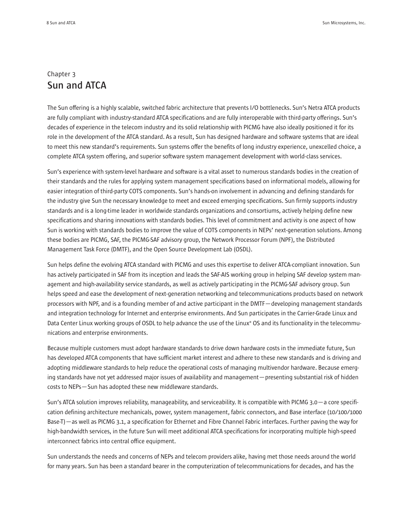# Chapter 3 **Sun and ATCA**

The Sun offering is a highly scalable, switched fabric architecture that prevents I/O bottlenecks. Sun's Netra ATCA products are fully compliant with industry-standard ATCA specifications and are fully interoperable with third-party offerings. Sun's decades of experience in the telecom industry and its solid relationship with PICMG have also ideally positioned it for its role in the development of the ATCA standard. As a result, Sun has designed hardware and software systems that are ideal to meet this new standard's requirements. Sun systems offer the benefits of long industry experience, unexcelled choice, a complete ATCA system offering, and superior software system management development with world-class services.

Sun's experience with system-level hardware and software is a vital asset to numerous standards bodies in the creation of their standards and the rules for applying system management specifications based on informational models, allowing for easier integration of third-party COTS components. Sun's hands-on involvement in advancing and defining standards for the industry give Sun the necessary knowledge to meet and exceed emerging specifications. Sun firmly supports industry standards and is a long-time leader in worldwide standards organizations and consortiums, actively helping define new specifications and sharing innovations with standards bodies. This level of commitment and activity is one aspect of how Sun is working with standards bodies to improve the value of COTS components in NEPs' next-generation solutions. Among these bodies are PICMG, SAF, the PICMG-SAF advisory group, the Network Processor Forum (NPF), the Distributed Management Task Force (DMTF), and the Open Source Development Lab (OSDL).

Sun helps define the evolving ATCA standard with PICMG and uses this expertise to deliver ATCA-compliant innovation. Sun has actively participated in SAF from its inception and leads the SAF-AIS working group in helping SAF develop system management and high-availability service standards, as well as actively participating in the PICMG-SAF advisory group. Sun helps speed and ease the development of next-generation networking and telecommunications products based on network processors with NPF, and is a founding member of and active participant in the DMTF—developing management standards and integration technology for Internet and enterprise environments. And Sun participates in the Carrier-Grade Linux and Data Center Linux working groups of OSDL to help advance the use of the Linux® OS and its functionality in the telecommunications and enterprise environments.

Because multiple customers must adopt hardware standards to drive down hardware costs in the immediate future, Sun has developed ATCA components that have sufficient market interest and adhere to these new standards and is driving and adopting middleware standards to help reduce the operational costs of managing multivendor hardware. Because emerging standards have not yet addressed major issues of availability and management—presenting substantial risk of hidden costs to NEPs—Sun has adopted these new middleware standards.

Sun's ATCA solution improves reliability, manageability, and serviceability. It is compatible with PICMG 3.0—a core specification defining architecture mechanicals, power, system management, fabric connectors, and Base interface (10/100/1000 Base-T)—as well as PICMG 3.1, a specification for Ethernet and Fibre Channel Fabric interfaces. Further paving the way for high-bandwidth services, in the future Sun will meet additional ATCA specifications for incorporating multiple high-speed interconnect fabrics into central office equipment.

Sun understands the needs and concerns of NEPs and telecom providers alike, having met those needs around the world for many years. Sun has been a standard bearer in the computerization of telecommunications for decades, and has the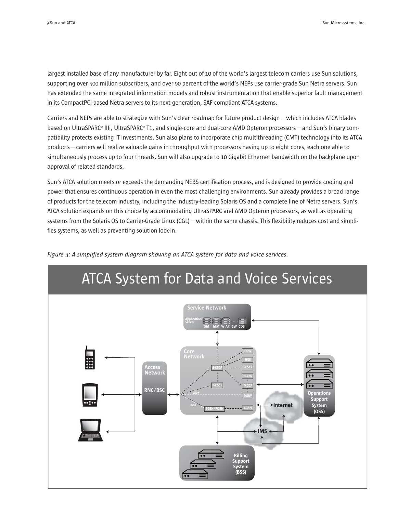largest installed base of any manufacturer by far. Eight out of 10 of the world's largest telecom carriers use Sun solutions, supporting over 500 million subscribers, and over 90 percent of the world's NEPs use carrier-grade Sun Netra servers. Sun has extended the same integrated information models and robust instrumentation that enable superior fault management in its CompactPCI-based Netra servers to its next-generation, SAF-compliant ATCA systems.

Carriers and NEPs are able to strategize with Sun's clear roadmap for future product design—which includes ATCA blades based on UltraSPARC® IIIi, UltraSPARC® T1, and single-core and dual-core AMD Opteron processors—and Sun's binary compatibility protects existing IT investments. Sun also plans to incorporate chip multithreading (CMT) technology into its ATCA products—carriers will realize valuable gains in throughput with processors having up to eight cores, each one able to simultaneously process up to four threads. Sun will also upgrade to 10 Gigabit Ethernet bandwidth on the backplane upon approval of related standards.

Sun's ATCA solution meets or exceeds the demanding NEBS certification process, and is designed to provide cooling and power that ensures continuous operation in even the most challenging environments. Sun already provides a broad range of products for the telecom industry, including the industry-leading Solaris OS and a complete line of Netra servers. Sun's ATCA solution expands on this choice by accommodating UltraSPARC and AMD Opteron processors, as well as operating systems from the Solaris OS to Carrier-Grade Linux (CGL) — within the same chassis. This flexibility reduces cost and simplifies systems, as well as preventing solution lock-in.



*Figure 3: A simplified system diagram showing an ATCA system for data and voice services.*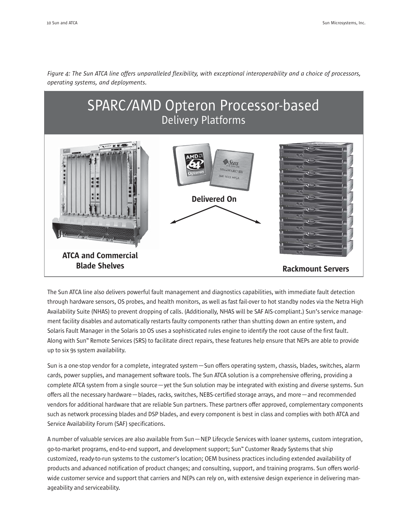

*Figure 4: The Sun ATCA line offers unparalleled flexibility, with exceptional interoperability and a choice of processors, operating systems, and deployments.*

The Sun ATCA line also delivers powerful fault management and diagnostics capabilities, with immediate fault detection through hardware sensors, OS probes, and health monitors, as well as fast fail-over to hot standby nodes via the Netra High Availability Suite (NHAS) to prevent dropping of calls. (Additionally, NHAS will be SAF AIS-compliant.) Sun's service management facility disables and automatically restarts faulty components rather than shutting down an entire system, and Solaris Fault Manager in the Solaris 10 OS uses a sophisticated rules engine to identify the root cause of the first fault. Along with Sun™ Remote Services (SRS) to facilitate direct repairs, these features help ensure that NEPs are able to provide up to six 9s system availability.

Sun is a one-stop vendor for a complete, integrated system—Sun offers operating system, chassis, blades, switches, alarm cards, power supplies, and management software tools. The Sun ATCA solution is a comprehensive offering, providing a complete ATCA system from a single source—yet the Sun solution may be integrated with existing and diverse systems. Sun offers all the necessary hardware—blades, racks, switches, NEBS-certified storage arrays, and more—and recommended vendors for additional hardware that are reliable Sun partners. These partners offer approved, complementary components such as network processing blades and DSP blades, and every component is best in class and complies with both ATCA and Service Availability Forum (SAF) specifications.

A number of valuable services are also available from Sun—NEP Lifecycle Services with loaner systems, custom integration, go-to-market programs, end-to-end support, and development support; Sun<sup>m</sup> Customer Ready Systems that ship customized, ready-to-run systems to the customer's location; OEM business practices including extended availability of products and advanced notification of product changes; and consulting, support, and training programs. Sun offers worldwide customer service and support that carriers and NEPs can rely on, with extensive design experience in delivering manageability and serviceability.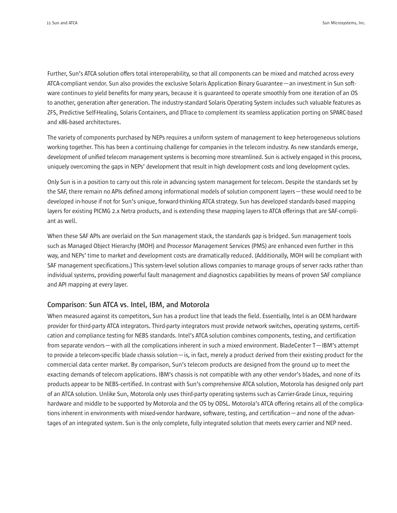Further, Sun's ATCA solution offers total interoperability, so that all components can be mixed and matched across every ATCA-compliant vendor. Sun also provides the exclusive Solaris Application Binary Guarantee—an investment in Sun software continues to yield benefits for many years, because it is guaranteed to operate smoothly from one iteration of an OS to another, generation after generation. The industry-standard Solaris Operating System includes such valuable features as ZFS, Predictive Self-Healing, Solaris Containers, and DTrace to complement its seamless application porting on SPARC-based and x86-based architectures.

The variety of components purchased by NEPs requires a uniform system of management to keep heterogeneous solutions working together. This has been a continuing challenge for companies in the telecom industry. As new standards emerge, development of unified telecom management systems is becoming more streamlined. Sun is actively engaged in this process, uniquely overcoming the gaps in NEPs' development that result in high development costs and long development cycles.

Only Sun is in a position to carry out this role in advancing system management for telecom. Despite the standards set by the SAF, there remain no APIs defined among informational models of solution component layers—these would need to be developed in-house if not for Sun's unique, forward-thinking ATCA strategy. Sun has developed standards-based mapping layers for existing PICMG 2.x Netra products, and is extending these mapping layers to ATCA offerings that are SAF-compliant as well.

When these SAF APIs are overlaid on the Sun management stack, the standards gap is bridged. Sun management tools such as Managed Object Hierarchy (MOH) and Processor Management Services (PMS) are enhanced even further in this way, and NEPs' time to market and development costs are dramatically reduced. (Additionally, MOH will be compliant with SAF management specifications.) This system-level solution allows companies to manage groups of server racks rather than individual systems, providing powerful fault management and diagnostics capabilities by means of proven SAF compliance and API mapping at every layer.

#### **Comparison: Sun ATCA vs. Intel, IBM, and Motorola**

When measured against its competitors, Sun has a product line that leads the field. Essentially, Intel is an OEM hardware provider for third-party ATCA integrators. Third-party integrators must provide network switches, operating systems, certification and compliance testing for NEBS standards. Intel's ATCA solution combines components, testing, and certification from separate vendors—with all the complications inherent in such a mixed environment. BladeCenter T—IBM's attempt to provide a telecom-specific blade chassis solution—is, in fact, merely a product derived from their existing product for the commercial data center market. By comparison, Sun's telecom products are designed from the ground up to meet the exacting demands of telecom applications. IBM's chassis is not compatible with any other vendor's blades, and none of its products appear to be NEBS-certified. In contrast with Sun's comprehensive ATCA solution, Motorola has designed only part of an ATCA solution. Unlike Sun, Motorola only uses third-party operating systems such as Carrier-Grade Linux, requiring hardware and middle to be supported by Motorola and the OS by ODSL. Motorola's ATCA offering retains all of the complications inherent in environments with mixed-vendor hardware, software, testing, and certification—and none of the advantages of an integrated system. Sun is the only complete, fully integrated solution that meets every carrier and NEP need.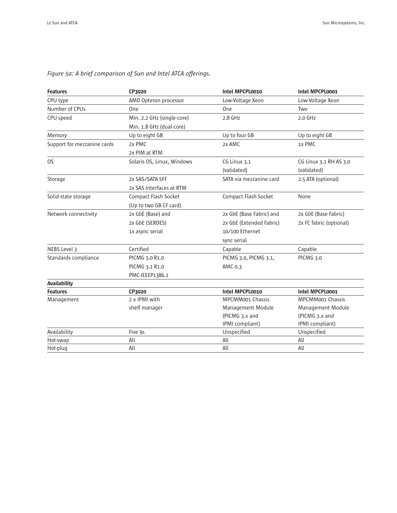| <b>Features</b>             | CP3020                     | Intel MPCPL0010          | Intel MPCPL0001          |
|-----------------------------|----------------------------|--------------------------|--------------------------|
| CPU type                    | AMD Opteron processor      | Low-Voltage Xeon         | Low-Voltage Xeon         |
| Number of CPUs              | One                        | One                      | Two                      |
| CPU speed                   | Min. 2.2 GHz (single-core) | $2.8$ GHz                | $2.0$ GHz                |
|                             | Min. 1.8 GHz (dual-core)   |                          |                          |
| Memory                      | Up to eight GB             | Up to four GB            | Up to eight GB           |
| Support for mezzanine cards | 2x PMC                     | 2x AMC                   | 1x PMC                   |
|                             | 2x PIM at RTM              |                          |                          |
| OS                          | Solaris OS, Linux, Windows | CG Linux 3.1             | CG Linux 3.1 RH AS 3.0   |
|                             |                            | (validated)              | (validated)              |
| Storage                     | 2x SAS/SATA SFF            | SATA via mezzanine card  | 2.5 ATA (optional)       |
|                             | 2x SAS Interfaces at RTM   |                          |                          |
| Solid-state storage         | Compact Flash Socket       | Compact Flash Socket     | None                     |
|                             | (Up to two GB CF card)     |                          |                          |
| Network connectivity        | 2x GbE (Base) and          | 2x GbE (Base Fabric) and | 2x GbE (Base Fabric)     |
|                             | 2x GbE (SERDES)            | 2x GbE (Extended Fabric) | 2x FC fabric (optional)  |
|                             | 1x async serial            | 10/100 Ethernet          |                          |
|                             |                            | sync serial              |                          |
| NEBS Level 3                | Certified                  | Capable                  | Capable                  |
| Standards compliance        | PICMG 3.0 R1.0             | PICMG 3.0, PICMG 3.1,    | PICMG 3.0                |
|                             | PICMG 3.1 R1.0             | AMC 0.3                  |                          |
|                             | PMC-IEEEP1386.1            |                          |                          |
| <b>Availability</b>         |                            |                          |                          |
| <b>Features</b>             | CP3020                     | Intel MPCPL0010          | Intel MPCPL0001          |
| Management                  | 2 x IPMI with              | <b>MPCMM001 Chassis</b>  | <b>MPCMM001 Chassis</b>  |
|                             | shelf manager              | <b>Management Module</b> | <b>Management Module</b> |
|                             |                            | (PICMG 3.x and           | (PICMG 3.x and           |
|                             |                            | IPMI compliant)          | IPMI compliant)          |
| Availability                | Five 9s                    | Unspecified              | Unspecified              |
| Hot-swap                    | All                        | All                      | All                      |
| Hot-plug                    | All                        | All                      | All                      |

# *Figure 5a: A brief comparison of Sun and Intel ATCA offerings.*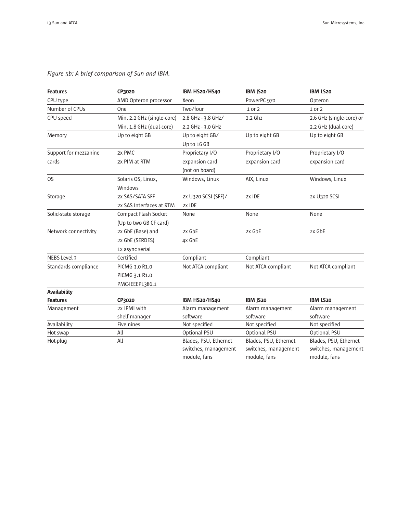| <b>Features</b>       | CP3020                     | IBM HS20/HS40         | IBM JS20              | <b>IBM LS20</b>          |
|-----------------------|----------------------------|-----------------------|-----------------------|--------------------------|
| CPU type              | AMD Opteron processor      | Xeon                  | PowerPC 970           | Opteron                  |
| Number of CPUs        | One                        | Two/four              | 1 or 2                | 1 or 2                   |
| CPU speed             | Min. 2.2 GHz (single-core) | 2.8 GHz - 3.8 GHz/    | $2.2$ Ghz             | 2.6 GHz (single-core) or |
|                       | Min. 1.8 GHz (dual-core)   | 2.2 GHz - 3.0 GHz     |                       | 2.2 GHz (dual-core)      |
| Memory                | Up to eight GB             | Up to eight GB/       | Up to eight GB        | Up to eight GB           |
|                       |                            | Up to 16 GB           |                       |                          |
| Support for mezzanine | 2x PMC                     | Proprietary I/O       | Proprietary I/O       | Proprietary I/O          |
| cards                 | 2x PIM at RTM              | expansion card        | expansion card        | expansion card           |
|                       |                            | (not on board)        |                       |                          |
| <b>OS</b>             | Solaris OS, Linux,         | Windows, Linux        | AIX, Linux            | Windows, Linux           |
|                       | Windows                    |                       |                       |                          |
| Storage               | 2x SAS/SATA SFF            | 2x U320 SCSI (SFF)/   | 2x IDE                | 2x U320 SCSI             |
|                       | 2x SAS Interfaces at RTM   | 2x IDE                |                       |                          |
| Solid-state storage   | Compact Flash Socket       | None                  | None                  | None                     |
|                       | (Up to two GB CF card)     |                       |                       |                          |
| Network connectivity  | 2x GbE (Base) and          | 2x GbE                | 2x GbE                | 2x GbE                   |
|                       | 2x GbE (SERDES)            | 4x GbE                |                       |                          |
|                       | 1x async serial            |                       |                       |                          |
| NEBS Level 3          | Certified                  | Compliant             | Compliant             |                          |
| Standards compliance  | PICMG 3.0 R1.0             | Not ATCA-compliant    | Not ATCA-compliant    | Not ATCA-compliant       |
|                       | PICMG 3.1 R1.0             |                       |                       |                          |
|                       | PMC-IEEEP1386.1            |                       |                       |                          |
| <b>Availability</b>   |                            |                       |                       |                          |
| <b>Features</b>       | CP3020                     | IBM HS20/HS40         | IBM JS20              | <b>IBM LS20</b>          |
| Management            | 2x IPMI with               | Alarm management      | Alarm management      | Alarm management         |
|                       | shelf manager              | software              | software              | software                 |
| Availability          | Five nines                 | Not specified         | Not specified         | Not specified            |
| Hot-swap              | All                        | Optional PSU          | Optional PSU          | Optional PSU             |
| Hot-plug              | All                        | Blades, PSU, Ethernet | Blades, PSU, Ethernet | Blades, PSU, Ethernet    |
|                       |                            | switches, management  | switches, management  | switches, management     |
|                       |                            | module, fans          | module, fans          | module, fans             |

# *Figure 5b: A brief comparison of Sun and IBM.*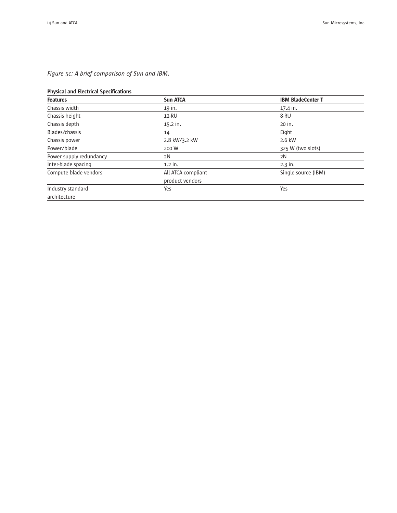# *Figure 5c: A brief comparison of Sun and IBM.*

### Physical and Electrical Specifications

| <b>Features</b>         | <b>Sun ATCA</b>    | <b>IBM BladeCenter T</b> |
|-------------------------|--------------------|--------------------------|
| Chassis width           | 19 in.             | 17.4 in.                 |
| Chassis height          | 12-RU              | 8-RU                     |
| Chassis depth           | $15.2$ in.         | 20 in.                   |
| Blades/chassis          | 14                 | Eight                    |
| Chassis power           | 2.8 kW/3.2 kW      | 2.6 kW                   |
| Power/blade             | 200 W              | 325 W (two slots)        |
| Power supply redundancy | 2N                 | 2N                       |
| Inter-blade spacing     | $1.2$ in.          | $2.3$ in.                |
| Compute blade vendors   | All ATCA-compliant | Single source (IBM)      |
|                         | product vendors    |                          |
| Industry-standard       | Yes                | Yes                      |
| architecture            |                    |                          |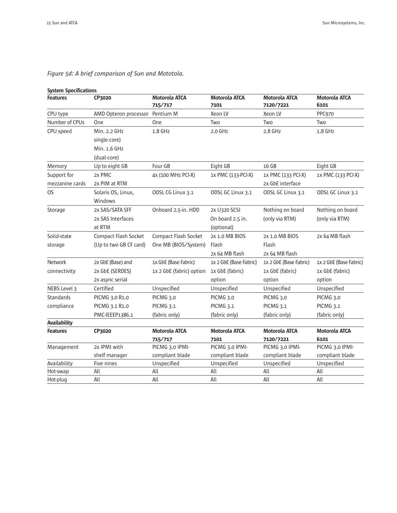| <b>System Specifications</b> |                        |                                 |                              |                                   |                              |
|------------------------------|------------------------|---------------------------------|------------------------------|-----------------------------------|------------------------------|
| <b>Features</b>              | CP3020                 | <b>Motorola ATCA</b><br>715/717 | <b>Motorola ATCA</b><br>7101 | <b>Motorola ATCA</b><br>7120/7221 | <b>Motorola ATCA</b><br>6101 |
| CPU type                     | AMD Opteron processor  | Pentium M                       | Xeon LV                      | Xeon LV                           | PPC970                       |
| Number of CPUs               | One                    | One                             | Two                          | Two                               | Two                          |
| CPU speed                    | Min. 2.2 GHz           | 1.8 GHz                         | 2.0 GHz                      | 2.8 GHz                           | 1.8 GHz                      |
|                              | single-core)           |                                 |                              |                                   |                              |
|                              | Min. 1.6 GHz           |                                 |                              |                                   |                              |
|                              | (dual-core)            |                                 |                              |                                   |                              |
| Memory                       | Up to eight GB         | Four GB                         | Eight GB                     | 16 GB                             | Eight GB                     |
| Support for                  | 2x PMC                 | 4x (100 MHz PCI-X)              | 1x PMC (133-PCI-X)           | 1x PMC (133 PCI-X)                | 1x PMC (133 PCI-X)           |
| mezzanine cards              | 2x PIM at RTM          |                                 |                              | 2x GbE interface                  |                              |
| OS.                          | Solaris OS, Linux,     | ODSL CG Linux 3.1               | ODSL GC Linux 3.1            | ODSL GC Linux 3.1                 | ODSL GC Linux 3.1            |
|                              | Windows                |                                 |                              |                                   |                              |
| Storage                      | 2x SAS/SATA SFF        | Onboard 2.5-in. HDD             | 2x U320 SCSI                 | Nothing on board                  | Nothing on board             |
|                              | 2x SAS Interfaces      |                                 | On board 2.5 in.             | (only via RTM)                    | (only via RTM)               |
|                              | at RTM                 |                                 | (optional)                   |                                   |                              |
| Solid-state                  | Compact Flash Socket   | Compact Flash Socket            | 2x 1.0 MB BIOS               | 2x 1.0 MB BIOS                    | 2x 64 MB flash               |
| storage                      | (Up to two GB CF card) | One MB (BIOS/System)            | Flash                        | Flash                             |                              |
|                              |                        |                                 | 2x 64 MB flash               | 2x 64 MB flash                    |                              |
| <b>Network</b>               | 2x GbE (Base) and      | 1x GbE (Base Fabric)            | 1x 2 GbE (Base Fabric)       | 1x 2 GbE (Base Fabric)            | 1x 2 GbE (Base Fabric)       |
| connectivity                 | 2x GbE (SERDES)        | 1x 2 GbE (fabric) option        | 1x GbE (fabric)              | 1x GbE (fabric)                   | 1x GbE (fabric)              |
|                              | 2x async serial        |                                 | option                       | option                            | option                       |
| NEBS Level 3                 | Certified              | Unspecified                     | Unspecified                  | Unspecified                       | Unspecified                  |
| Standards                    | PICMG 3.0 R1.0         | PICMG 3.0                       | PICMG 3.0                    | PICMG 3.0                         | PICMG 3.0                    |
| compliance                   | PICMG 3.1 R1.0         | PICMG <sub>3.1</sub>            | PICMG 3.1                    | PICMG 3.1                         | PICMG <sub>3.1</sub>         |
|                              | PMC-IEEEP1386.1        | (fabric only)                   | (fabric only)                | (fabric only)                     | (fabric only)                |
| <b>Availability</b>          |                        |                                 |                              |                                   |                              |
| <b>Features</b>              | CP3020                 | <b>Motorola ATCA</b>            | <b>Motorola ATCA</b>         | <b>Motorola ATCA</b>              | <b>Motorola ATCA</b>         |
|                              |                        | 715/717                         | 7101                         | 7120/7221                         | 6101                         |
| Management                   | 2x IPMI with           | PICMG 3.0 IPMI-                 | PICMG 3.0 IPMI-              | PICMG 3.0 IPMI-                   | PICMG 3.0 IPMI-              |
|                              | shelf manager          | compliant blade                 | compliant blade              | compliant blade                   | compliant blade              |
| Availability                 | Five nines             | Unspecified                     | Unspecified                  | Unspecified                       | Unspecified                  |
| Hot-swap                     | All                    | All                             | All                          | All                               | All                          |
| Hot-plug                     | All                    | All                             | All                          | All                               | All                          |

# *Figure 5d: A brief comparison of Sun and Mototola.*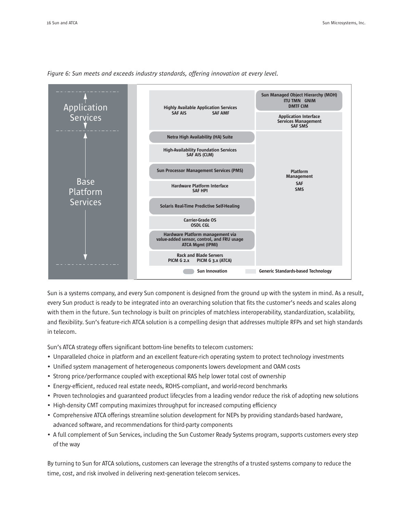

*Figure 6: Sun meets and exceeds industry standards, offering innovation at every level.*

Sun is a systems company, and every Sun component is designed from the ground up with the system in mind. As a result, every Sun product is ready to be integrated into an overarching solution that fits the customer's needs and scales along with them in the future. Sun technology is built on principles of matchless interoperability, standardization, scalability, and flexibility. Sun's feature-rich ATCA solution is a compelling design that addresses multiple RFPs and set high standards in telecom.

Sun's ATCA strategy offers significant bottom-line benefits to telecom customers:

- Unparalleled choice in platform and an excellent feature-rich operating system to protect technology investments
- Unified system management of heterogeneous components lowers development and OAM costs
- Strong price/performance coupled with exceptional RAS help lower total cost of ownership
- Energy-efficient, reduced real estate needs, ROHS-compliant, and world-record benchmarks
- Proven technologies and guaranteed product lifecycles from a leading vendor reduce the risk of adopting new solutions
- High-density CMT computing maximizes throughput for increased computing efficiency
- Comprehensive ATCA offerings streamline solution development for NEPs by providing standards-based hardware, advanced software, and recommendations for third-party components
- A full complement of Sun Services, including the Sun Customer Ready Systems program, supports customers every step of the way

By turning to Sun for ATCA solutions, customers can leverage the strengths of a trusted systems company to reduce the time, cost, and risk involved in delivering next-generation telecom services.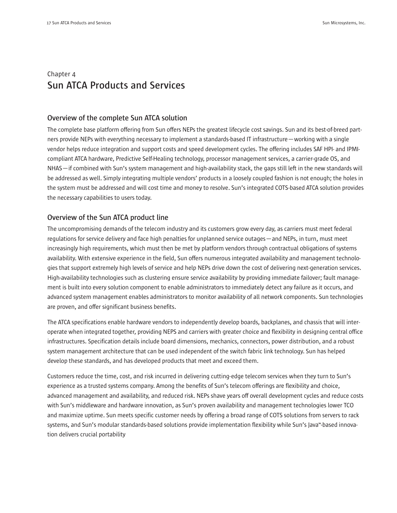# Chapter 4 **Sun ATCA Products and Services**

### **Overview of the complete Sun ATCA solution**

The complete base platform offering from Sun offers NEPs the greatest lifecycle cost savings. Sun and its best-of-breed partners provide NEPs with everything necessary to implement a standards-based IT infrastructure—working with a single vendor helps reduce integration and support costs and speed development cycles. The offering includes SAF HPI- and IPMIcompliant ATCA hardware, Predictive Self-Healing technology, processor management services, a carrier-grade OS, and NHAS—if combined with Sun's system management and high-availability stack, the gaps still left in the new standards will be addressed as well. Simply integrating multiple vendors' products in a loosely coupled fashion is not enough; the holes in the system must be addressed and will cost time and money to resolve. Sun's integrated COTS-based ATCA solution provides the necessary capabilities to users today.

# **Overview of the Sun ATCA product line**

The uncompromising demands of the telecom industry and its customers grow every day, as carriers must meet federal regulations for service delivery and face high penalties for unplanned service outages—and NEPs, in turn, must meet increasingly high requirements, which must then be met by platform vendors through contractual obligations of systems availability. With extensive experience in the field, Sun offers numerous integrated availability and management technologies that support extremely high levels of service and help NEPs drive down the cost of delivering next-generation services. High-availability technologies such as clustering ensure service availability by providing immediate failover; fault management is built into every solution component to enable administrators to immediately detect any failure as it occurs, and advanced system management enables administrators to monitor availability of all network components. Sun technologies are proven, and offer significant business benefits.

The ATCA specifications enable hardware vendors to independently develop boards, backplanes, and chassis that will interoperate when integrated together, providing NEPS and carriers with greater choice and flexibility in designing central office infrastructures. Specification details include board dimensions, mechanics, connectors, power distribution, and a robust system management architecture that can be used independent of the switch fabric link technology. Sun has helped develop these standards, and has developed products that meet and exceed them.

Customers reduce the time, cost, and risk incurred in delivering cutting-edge telecom services when they turn to Sun's experience as a trusted systems company. Among the benefits of Sun's telecom offerings are flexibility and choice, advanced management and availability, and reduced risk. NEPs shave years off overall development cycles and reduce costs with Sun's middleware and hardware innovation, as Sun's proven availability and management technologies lower TCO and maximize uptime. Sun meets specific customer needs by offering a broad range of COTS solutions from servers to rack systems, and Sun's modular standards-based solutions provide implementation flexibility while Sun's Java<sup>m</sup>-based innovation delivers crucial portability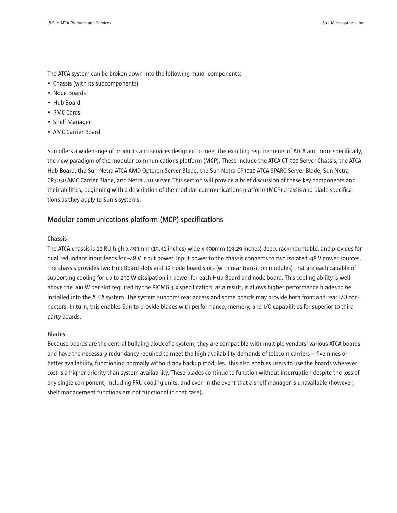The ATCA system can be broken down into the following major components:

- Chassis (with its subcomponents)
- Node Boards
- Hub Board
- PMC Cards
- Shelf Manager
- AMC Carrier Board

Sun offers a wide range of products and services designed to meet the exacting requirements of ATCA and more specifically, the new paradigm of the modular communications platform (MCP). These include the ATCA CT 900 Server Chassis, the ATCA Hub Board, the Sun Netra ATCA AMD Opteron Server Blade, the Sun Netra CP3010 ATCA SPARC Server Blade, Sun Netra CP3030 AMC Carrier Blade, and Netra 210 server. This section will provide a brief discussion of these key components and their abilities, beginning with a description of the modular communications platform (MCP) chassis and blade specifications as they apply to Sun's systems.

## **Modular communications platform (MCP) specifications**

#### **Chassis**

The ATCA chassis is 12 RU high x 493mm (19.41 inches) wide x 490mm (19.29 inches) deep, rackmountable, and provides for dual redundant input feeds for –48 V input power. Input power to the chassis connects to two isolated -48 V power sources. The chassis provides two Hub Board slots and 12 node board slots (with rear transition modules) that are each capable of supporting cooling for up to 250 W dissipation in power for each Hub Board and node board. This cooling ability is well above the 200 W per slot required by the PICMG 3.x specification; as a result, it allows higher performance blades to be installed into the ATCA system. The system supports rear access and some boards may provide both front and rear I/O connectors. In turn, this enables Sun to provide blades with performance, memory, and I/O capabilities far superior to thirdparty boards.

#### **Blades**

Because boards are the central building block of a system, they are compatible with multiple vendors' various ATCA boards and have the necessary redundancy required to meet the high availability demands of telecom carriers—five nines or better availability, functioning normally without any backup modules. This also enables users to use the boards wherever cost is a higher priority than system availability. These blades continue to function without interruption despite the loss of any single component, including FRU cooling units, and even in the event that a shelf manager is unavailable (however, shelf management functions are not functional in that case).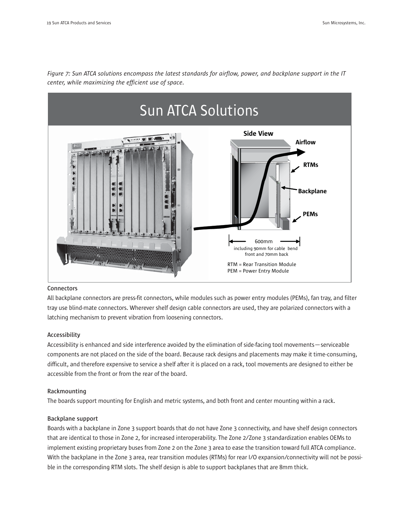

*Figure 7: Sun ATCA solutions encompass the latest standards for airflow, power, and backplane support in the IT center, while maximizing the efficient use of space.*

#### **Connectors**

All backplane connectors are press-fit connectors, while modules such as power entry modules (PEMs), fan tray, and filter tray use blind-mate connectors. Wherever shelf design cable connectors are used, they are polarized connectors with a latching mechanism to prevent vibration from loosening connectors.

#### **Accessibility**

Accessibility is enhanced and side interference avoided by the elimination of side-facing tool movements—serviceable components are not placed on the side of the board. Because rack designs and placements may make it time-consuming, difficult, and therefore expensive to service a shelf after it is placed on a rack, tool movements are designed to either be accessible from the front or from the rear of the board.

#### **Rackmounting**

The boards support mounting for English and metric systems, and both front and center mounting within a rack.

#### **Backplane support**

Boards with a backplane in Zone 3 support boards that do not have Zone 3 connectivity, and have shelf design connectors that are identical to those in Zone 2, for increased interoperability. The Zone 2/Zone 3 standardization enables OEMs to implement existing proprietary buses from Zone 2 on the Zone 3 area to ease the transition toward full ATCA compliance. With the backplane in the Zone 3 area, rear transition modules (RTMs) for rear I/O expansion/connectivity will not be possible in the corresponding RTM slots. The shelf design is able to support backplanes that are 8mm thick.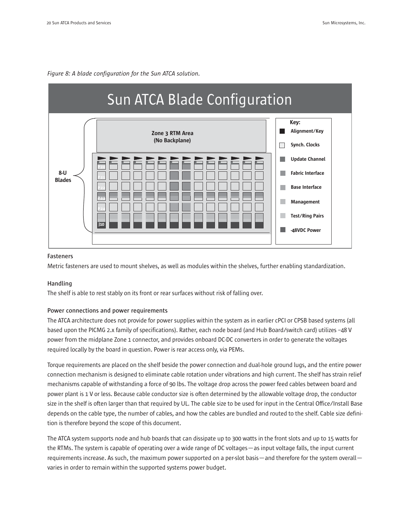



#### **Fasteners**

Metric fasteners are used to mount shelves, as well as modules within the shelves, further enabling standardization.

#### **Handling**

The shelf is able to rest stably on its front or rear surfaces without risk of falling over.

#### **Power connections and power requirements**

The ATCA architecture does not provide for power supplies within the system as in earlier cPCI or CPSB based systems (all based upon the PICMG 2.x family of specifications). Rather, each node board (and Hub Board/switch card) utilizes –48 V power from the midplane Zone 1 connector, and provides onboard DC-DC converters in order to generate the voltages required locally by the board in question. Power is rear access only, via PEMs.

Torque requirements are placed on the shelf beside the power connection and dual-hole ground lugs, and the entire power connection mechanism is designed to eliminate cable rotation under vibrations and high current. The shelf has strain relief mechanisms capable of withstanding a force of 90 lbs. The voltage drop across the power feed cables between board and power plant is 1 V or less. Because cable conductor size is often determined by the allowable voltage drop, the conductor size in the shelf is often larger than that required by UL. The cable size to be used for input in the Central Office/Install Base depends on the cable type, the number of cables, and how the cables are bundled and routed to the shelf. Cable size definition is therefore beyond the scope of this document.

The ATCA system supports node and hub boards that can dissipate up to 300 watts in the front slots and up to 15 watts for the RTMs. The system is capable of operating over a wide range of DC voltages—as input voltage falls, the input current requirements increase. As such, the maximum power supported on a per-slot basis—and therefore for the system overall varies in order to remain within the supported systems power budget.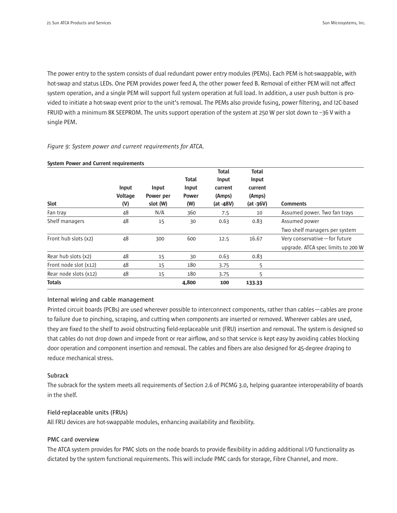The power entry to the system consists of dual redundant power entry modules (PEMs). Each PEM is hot-swappable, with hot-swap and status LEDs. One PEM provides power feed A, the other power feed B. Removal of either PEM will not affect system operation, and a single PEM will support full system operation at full load. In addition, a user push button is provided to initiate a hot-swap event prior to the unit's removal. The PEMs also provide fusing, power filtering, and I2C-based FRUID with a minimum 8K SEEPROM. The units support operation of the system at 250 W per slot down to –36 V with a single PEM.

#### *Figure 9: System power and current requirements for ATCA.*

|                       | Input<br><b>Voltage</b> | Input<br>Power per | Total<br>Input<br><b>Power</b> | <b>Total</b><br>Input<br>current<br>(Amps) | Total<br>Input<br>current<br>(Amps) |                                    |
|-----------------------|-------------------------|--------------------|--------------------------------|--------------------------------------------|-------------------------------------|------------------------------------|
| Slot                  | (V)                     | slot (W)           | (W)                            | (at -48V)                                  | $(at -36V)$                         | <b>Comments</b>                    |
| Fan tray              | 48                      | N/A                | 360                            | 7.5                                        | 10                                  | Assumed power. Two fan trays       |
| Shelf managers        | 48                      | 15                 | 30                             | 0.63                                       | 0.83                                | Assumed power                      |
|                       |                         |                    |                                |                                            |                                     | Two shelf managers per system      |
| Front hub slots (x2)  | 48                      | 300                | 600                            | 12.5                                       | 16.67                               | Very conservative - for future     |
|                       |                         |                    |                                |                                            |                                     | upgrade. ATCA spec limits to 200 W |
| Rear hub slots (x2)   | 48                      | 15                 | 30                             | 0.63                                       | 0.83                                |                                    |
| Front node slot (x12) | 48                      | 15                 | 180                            | 3.75                                       | 5                                   |                                    |
| Rear node slots (x12) | 48                      | 15                 | 180                            | 3.75                                       | 5                                   |                                    |
| <b>Totals</b>         |                         |                    | 4,800                          | 100                                        | 133.33                              |                                    |

#### System Power and Current requirements

#### **Internal wiring and cable management**

Printed circuit boards (PCBs) are used wherever possible to interconnect components, rather than cables—cables are prone to failure due to pinching, scraping, and cutting when components are inserted or removed. Wherever cables are used, they are fixed to the shelf to avoid obstructing field-replaceable unit (FRU) insertion and removal. The system is designed so that cables do not drop down and impede front or rear airflow, and so that service is kept easy by avoiding cables blocking door operation and component insertion and removal. The cables and fibers are also designed for 45-degree draping to reduce mechanical stress.

#### **Subrack**

The subrack for the system meets all requirements of Section 2.6 of PICMG 3.0, helping guarantee interoperability of boards in the shelf.

#### **Field-replaceable units (FRUs)**

All FRU devices are hot-swappable modules, enhancing availability and flexibility.

#### **PMC card overview**

The ATCA system provides for PMC slots on the node boards to provide flexibility in adding additional I/O functionality as dictated by the system functional requirements. This will include PMC cards for storage, Fibre Channel, and more.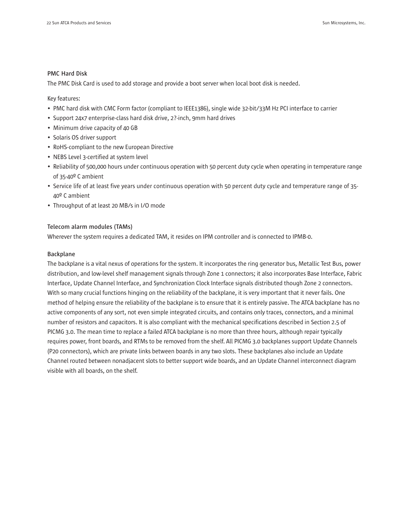#### **PMC Hard Disk**

The PMC Disk Card is used to add storage and provide a boot server when local boot disk is needed.

Key features:

- PMC hard disk with CMC Form factor (compliant to IEEE1386), single wide 32-bit/33M Hz PCI interface to carrier
- Support 24x7 enterprise-class hard disk drive, 2?-inch, 9mm hard drives
- Minimum drive capacity of 40 GB
- Solaris OS driver support
- RoHS-compliant to the new European Directive
- NEBS Level 3-certified at system level
- Reliability of 500,000 hours under continuous operation with 50 percent duty cycle when operating in temperature range of 35-40º C ambient
- Service life of at least five years under continuous operation with 50 percent duty cycle and temperature range of 35- 40º C ambient
- Throughput of at least 20 MB/s in I/O mode

#### **Telecom alarm modules (TAMs)**

Wherever the system requires a dedicated TAM, it resides on IPM controller and is connected to IPMB-0.

#### **Backplane**

The backplane is a vital nexus of operations for the system. It incorporates the ring generator bus, Metallic Test Bus, power distribution, and low-level shelf management signals through Zone 1 connectors; it also incorporates Base Interface, Fabric Interface, Update Channel Interface, and Synchronization Clock Interface signals distributed though Zone 2 connectors. With so many crucial functions hinging on the reliability of the backplane, it is very important that it never fails. One method of helping ensure the reliability of the backplane is to ensure that it is entirely passive. The ATCA backplane has no active components of any sort, not even simple integrated circuits, and contains only traces, connectors, and a minimal number of resistors and capacitors. It is also compliant with the mechanical specifications described in Section 2.5 of PICMG 3.0. The mean time to replace a failed ATCA backplane is no more than three hours, although repair typically requires power, front boards, and RTMs to be removed from the shelf. All PICMG 3.0 backplanes support Update Channels (P20 connectors), which are private links between boards in any two slots. These backplanes also include an Update Channel routed between nonadjacent slots to better support wide boards, and an Update Channel interconnect diagram visible with all boards, on the shelf.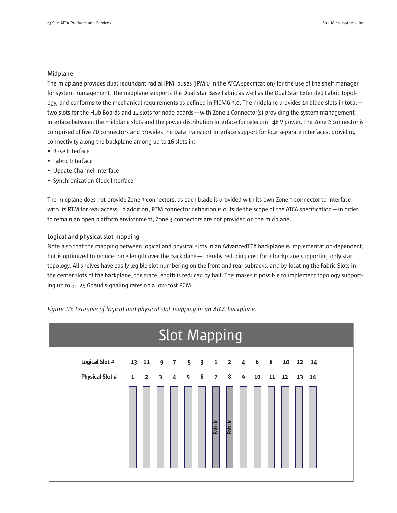#### **Midplane**

The midplane provides dual redundant radial IPMI buses (IPMI0 in the ATCA specification) for the use of the shelf manager for system management. The midplane supports the Dual Star Base Fabric as well as the Dual Star Extended Fabric topology, and conforms to the mechanical requirements as defined in PICMG 3.0. The midplane provides 14 blade slots in total two slots for the Hub Boards and 12 slots for node boards—with Zone 1 Connector(s) providing the system management interface between the midplane slots and the power distribution interface for telecom –48 V power. The Zone 2 connector is comprised of five ZD connectors and provides the Data Transport Interface support for four separate interfaces, providing connectivity along the backplane among up to 16 slots in:

- Base Interface
- Fabric Interface
- Update Channel Interface
- Synchronization Clock Interface

The midplane does not provide Zone 3 connectors, as each blade is provided with its own Zone 3 connector to interface with its RTM for rear access. In addition, RTM connector definition is outside the scope of the ATCA specification—in order to remain an open platform environment, Zone 3 connectors are not provided on the midplane.

#### **Logical and physical slot mapping**

Note also that the mapping between logical and physical slots in an AdvancedTCA backplane is implementation-dependent, but is optimized to reduce trace length over the backplane—thereby reducing cost for a backplane supporting only star topology. All shelves have easily legible slot numbering on the front and rear subracks, and by locating the Fabric Slots in the center slots of the backplane, the trace length is reduced by half. This makes it possible to implement topology supporting up to 3.125 Gbaud signaling rates on a low-cost PCM.

*Figure 10: Example of logical and physical slot mapping in an ATCA backplane.*

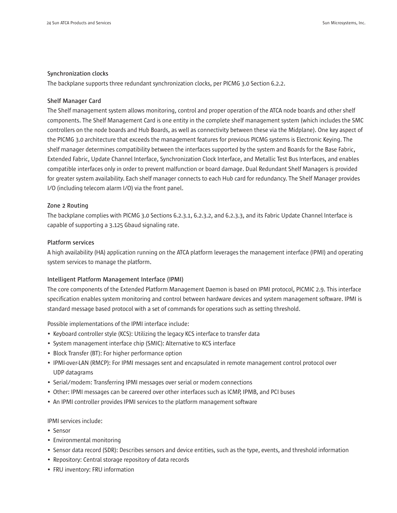#### **Synchronization clocks**

The backplane supports three redundant synchronization clocks, per PICMG 3.0 Section 6.2.2.

#### **Shelf Manager Card**

The Shelf management system allows monitoring, control and proper operation of the ATCA node boards and other shelf components. The Shelf Management Card is one entity in the complete shelf management system (which includes the SMC controllers on the node boards and Hub Boards, as well as connectivity between these via the Midplane). One key aspect of the PICMG 3.0 architecture that exceeds the management features for previous PICMG systems is Electronic Keying. The shelf manager determines compatibility between the interfaces supported by the system and Boards for the Base Fabric, Extended Fabric, Update Channel Interface, Synchronization Clock Interface, and Metallic Test Bus Interfaces, and enables compatible interfaces only in order to prevent malfunction or board damage. Dual Redundant Shelf Managers is provided for greater system availability. Each shelf manager connects to each Hub card for redundancy. The Shelf Manager provides I/O (including telecom alarm I/O) via the front panel.

#### **Zone 2 Routing**

The backplane complies with PICMG 3.0 Sections 6.2.3.1, 6.2.3.2, and 6.2.3.3, and its Fabric Update Channel Interface is capable of supporting a 3.125 Gbaud signaling rate.

#### **Platform services**

A high availability (HA) application running on the ATCA platform leverages the management interface (IPMI) and operating system services to manage the platform.

#### **Intelligent Platform Management Interface (IPMI)**

The core components of the Extended Platform Management Daemon is based on IPMI protocol, PICMIC 2.9. This interface specification enables system monitoring and control between hardware devices and system management software. IPMI is standard message based protocol with a set of commands for operations such as setting threshold.

Possible implementations of the IPMI interface include:

- Keyboard controller style (KCS): Utilizing the legacy KCS interface to transfer data
- System management interface chip (SMIC): Alternative to KCS interface
- Block Transfer (BT): For higher performance option
- IPMI-over-LAN (RMCP): For IPMI messages sent and encapsulated in remote management control protocol over UDP datagrams
- Serial/modem: Transferring IPMI messages over serial or modem connections
- Other: IPMI messages can be careered over other interfaces such as ICMP, IPMB, and PCI buses
- An IPMI controller provides IPMI services to the platform management software

#### IPMI services include:

- Sensor
- Environmental monitoring
- Sensor data record (SDR): Describes sensors and device entities, such as the type, events, and threshold information
- Repository: Central storage repository of data records
- FRU inventory: FRU information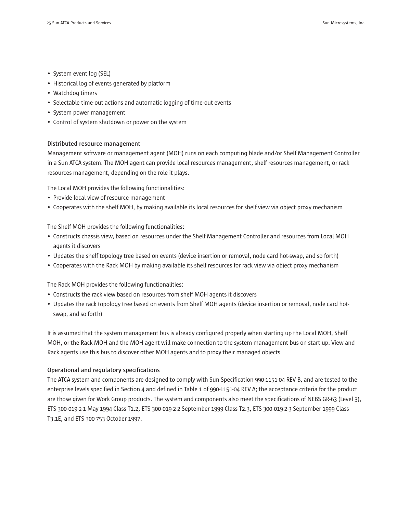- System event log (SEL)
- Historical log of events generated by platform
- Watchdog timers
- Selectable time-out actions and automatic logging of time-out events
- System power management
- Control of system shutdown or power on the system

#### **Distributed resource management**

Management software or management agent (MOH) runs on each computing blade and/or Shelf Management Controller in a Sun ATCA system. The MOH agent can provide local resources management, shelf resources management, or rack resources management, depending on the role it plays.

The Local MOH provides the following functionalities:

- Provide local view of resource management
- Cooperates with the shelf MOH, by making available its local resources for shelf view via object proxy mechanism

The Shelf MOH provides the following functionalities:

- Constructs chassis view, based on resources under the Shelf Management Controller and resources from Local MOH agents it discovers
- Updates the shelf topology tree based on events (device insertion or removal, node card hot-swap, and so forth)
- Cooperates with the Rack MOH by making available its shelf resources for rack view via object proxy mechanism

The Rack MOH provides the following functionalities:

- Constructs the rack view based on resources from shelf MOH agents it discovers
- Updates the rack topology tree based on events from Shelf MOH agents (device insertion or removal, node card hotswap, and so forth)

It is assumed that the system management bus is already configured properly when starting up the Local MOH, Shelf MOH, or the Rack MOH and the MOH agent will make connection to the system management bus on start up. View and Rack agents use this bus to discover other MOH agents and to proxy their managed objects

### **Operational and regulatory specifications**

The ATCA system and components are designed to comply with Sun Specification 990-1151-04 REV B, and are tested to the enterprise levels specified in Section 4 and defined in Table 1 of 990-1151-04 REV A; the acceptance criteria for the product are those given for Work Group products. The system and components also meet the specifications of NEBS GR-63 (Level 3), ETS 300-019-2-1 May 1994 Class T1.2, ETS 300-019-2-2 September 1999 Class T2.3, ETS 300-019-2-3 September 1999 Class T3.1E, and ETS 300-753 October 1997.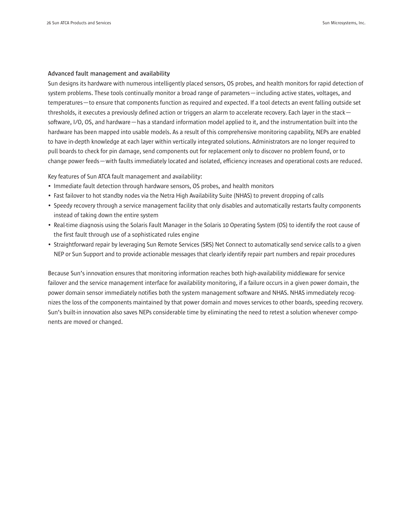#### **Advanced fault management and availability**

Sun designs its hardware with numerous intelligently placed sensors, OS probes, and health monitors for rapid detection of system problems. These tools continually monitor a broad range of parameters—including active states, voltages, and temperatures—to ensure that components function as required and expected. If a tool detects an event falling outside set thresholds, it executes a previously defined action or triggers an alarm to accelerate recovery. Each layer in the stack software, I/O, OS, and hardware—has a standard information model applied to it, and the instrumentation built into the hardware has been mapped into usable models. As a result of this comprehensive monitoring capability, NEPs are enabled to have in-depth knowledge at each layer within vertically integrated solutions. Administrators are no longer required to pull boards to check for pin damage, send components out for replacement only to discover no problem found, or to change power feeds—with faults immediately located and isolated, efficiency increases and operational costs are reduced.

Key features of Sun ATCA fault management and availability:

- Immediate fault detection through hardware sensors, OS probes, and health monitors
- Fast failover to hot standby nodes via the Netra High Availability Suite (NHAS) to prevent dropping of calls
- Speedy recovery through a service management facility that only disables and automatically restarts faulty components instead of taking down the entire system
- Real-time diagnosis using the Solaris Fault Manager in the Solaris 10 Operating System (OS) to identify the root cause of the first fault through use of a sophisticated rules engine
- Straightforward repair by leveraging Sun Remote Services (SRS) Net Connect to automatically send service calls to a given NEP or Sun Support and to provide actionable messages that clearly identify repair part numbers and repair procedures

Because Sun's innovation ensures that monitoring information reaches both high-availability middleware for service failover and the service management interface for availability monitoring, if a failure occurs in a given power domain, the power domain sensor immediately notifies both the system management software and NHAS. NHAS immediately recognizes the loss of the components maintained by that power domain and moves services to other boards, speeding recovery. Sun's built-in innovation also saves NEPs considerable time by eliminating the need to retest a solution whenever components are moved or changed.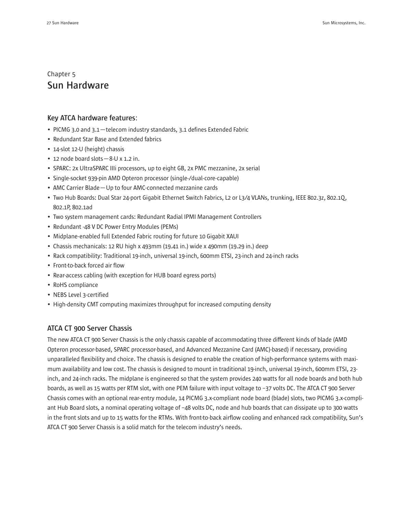# Chapter 5 **Sun Hardware**

#### **Key ATCA hardware features:**

- PICMG 3.0 and 3.1—telecom industry standards, 3.1 defines Extended Fabric
- Redundant Star Base and Extended fabrics
- 14-slot 12-U (height) chassis
- 12 node board slots—8-U x 1.2 in.
- SPARC: 2x UltraSPARC IIIi processors, up to eight GB, 2x PMC mezzanine, 2x serial
- Single-socket 939-pin AMD Opteron processor (single-/dual-core-capable)
- AMC Carrier Blade—Up to four AMC-connected mezzanine cards
- Two Hub Boards: Dual Star 24-port Gigabit Ethernet Switch Fabrics, L2 or L3/4 VLANs, trunking, IEEE 802.3z, 802.1Q, 802.1P, 802.1ad
- Two system management cards: Redundant Radial IPMI Management Controllers
- Redundant -48 V DC Power Entry Modules (PEMs)
- Midplane-enabled full Extended Fabric routing for future 10 Gigabit XAUI
- Chassis mechanicals: 12 RU high x 493mm (19.41 in.) wide x 490mm (19.29 in.) deep
- Rack compatibility: Traditional 19-inch, universal 19-inch, 600mm ETSI, 23-inch and 24-inch racks
- Front-to-back forced air flow
- Rear-access cabling (with exception for HUB board egress ports)
- RoHS compliance
- NEBS Level 3-certified
- High-density CMT computing maximizes throughput for increased computing density

## **ATCA CT 900 Server Chassis**

The new ATCA CT 900 Server Chassis is the only chassis capable of accommodating three different kinds of blade (AMD Opteron processor-based, SPARC processor-based, and Advanced Mezzanine Card (AMC)-based) if necessary, providing unparalleled flexibility and choice. The chassis is designed to enable the creation of high-performance systems with maximum availability and low cost. The chassis is designed to mount in traditional 19-inch, universal 19-inch, 600mm ETSI, 23 inch, and 24-inch racks. The midplane is engineered so that the system provides 240 watts for all node boards and both hub boards, as well as 15 watts per RTM slot, with one PEM failure with input voltage to –37 volts DC. The ATCA CT 900 Server Chassis comes with an optional rear-entry module, 14 PICMG 3.x-compliant node board (blade) slots, two PICMG 3.x-compliant Hub Board slots, a nominal operating voltage of –48 volts DC, node and hub boards that can dissipate up to 300 watts in the front slots and up to 15 watts for the RTMs. With front-to-back airflow cooling and enhanced rack compatibility, Sun's ATCA CT 900 Server Chassis is a solid match for the telecom industry's needs.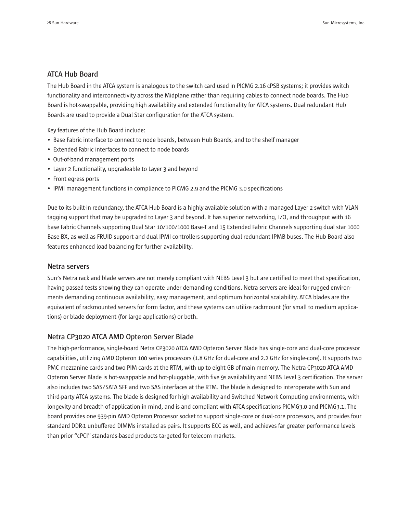### **ATCA Hub Board**

The Hub Board in the ATCA system is analogous to the switch card used in PICMG 2.16 cPSB systems; it provides switch functionality and interconnectivity across the Midplane rather than requiring cables to connect node boards. The Hub Board is hot-swappable, providing high availability and extended functionality for ATCA systems. Dual redundant Hub Boards are used to provide a Dual Star configuration for the ATCA system.

Key features of the Hub Board include:

- Base Fabric interface to connect to node boards, between Hub Boards, and to the shelf manager
- Extended Fabric interfaces to connect to node boards
- Out-of-band management ports
- Layer 2 functionality, upgradeable to Layer 3 and beyond
- Front egress ports
- IPMI management functions in compliance to PICMG 2.9 and the PICMG 3.0 specifications

Due to its built-in redundancy, the ATCA Hub Board is a highly available solution with a managed Layer 2 switch with VLAN tagging support that may be upgraded to Layer 3 and beyond. It has superior networking, I/O, and throughput with 16 base Fabric Channels supporting Dual Star 10/100/1000 Base-T and 15 Extended Fabric Channels supporting dual star 1000 Base-BX, as well as FRUID support and dual IPMI controllers supporting dual redundant IPMB buses. The Hub Board also features enhanced load balancing for further availability.

#### **Netra servers**

Sun's Netra rack and blade servers are not merely compliant with NEBS Level 3 but are certified to meet that specification, having passed tests showing they can operate under demanding conditions. Netra servers are ideal for rugged environments demanding continuous availability, easy management, and optimum horizontal scalability. ATCA blades are the equivalent of rackmounted servers for form factor, and these systems can utilize rackmount (for small to medium applications) or blade deployment (for large applications) or both.

## **Netra CP3020 ATCA AMD Opteron Server Blade**

The high-performance, single-board Netra CP3020 ATCA AMD Opteron Server Blade has single-core and dual-core processor capabilities, utilizing AMD Opteron 100 series processors (1.8 GHz for dual-core and 2.2 GHz for single-core). It supports two PMC mezzanine cards and two PIM cards at the RTM, with up to eight GB of main memory. The Netra CP3020 ATCA AMD Opteron Server Blade is hot-swappable and hot-pluggable, with five 9s availability and NEBS Level 3 certification. The server also includes two SAS/SATA SFF and two SAS interfaces at the RTM. The blade is designed to interoperate with Sun and third-party ATCA systems. The blade is designed for high availability and Switched Network Computing environments, with longevity and breadth of application in mind, and is and compliant with ATCA specifications PICMG3.0 and PICMG3.1. The board provides one 939-pin AMD Opteron Processor socket to support single-core or dual-core processors, and provides four standard DDR-1 unbuffered DIMMs installed as pairs. It supports ECC as well, and achieves far greater performance levels than prior "cPCI" standards-based products targeted for telecom markets.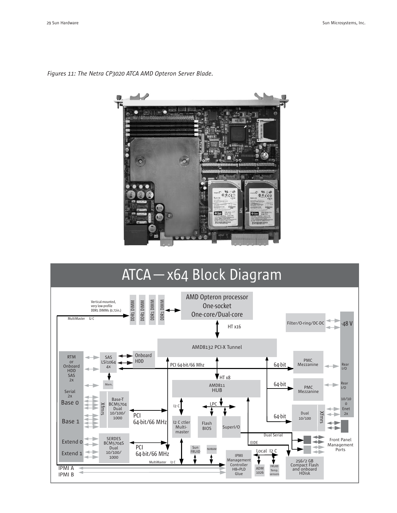

*Figures 11: The Netra CP3020 ATCA AMD Opteron Server Blade.*

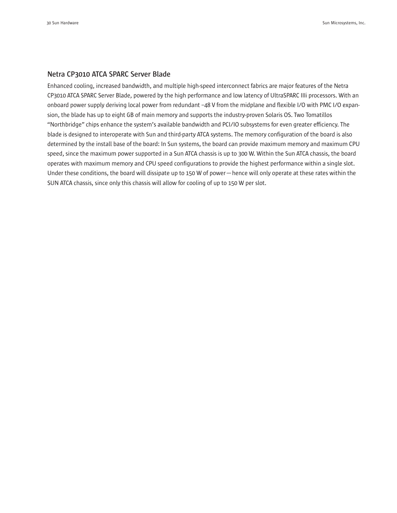#### **Netra CP3010 ATCA SPARC Server Blade**

Enhanced cooling, increased bandwidth, and multiple high-speed interconnect fabrics are major features of the Netra CP3010 ATCA SPARC Server Blade, powered by the high performance and low latency of UltraSPARC IIIi processors. With an onboard power supply deriving local power from redundant –48 V from the midplane and flexible I/O with PMC I/O expansion, the blade has up to eight GB of main memory and supports the industry-proven Solaris OS. Two Tomatillos "Northbridge" chips enhance the system's available bandwidth and PCI/IO subsystems for even greater efficiency. The blade is designed to interoperate with Sun and third-party ATCA systems. The memory configuration of the board is also determined by the install base of the board: In Sun systems, the board can provide maximum memory and maximum CPU speed, since the maximum power supported in a Sun ATCA chassis is up to 300 W. Within the Sun ATCA chassis, the board operates with maximum memory and CPU speed configurations to provide the highest performance within a single slot. Under these conditions, the board will dissipate up to 150 W of power—hence will only operate at these rates within the SUN ATCA chassis, since only this chassis will allow for cooling of up to 150 W per slot.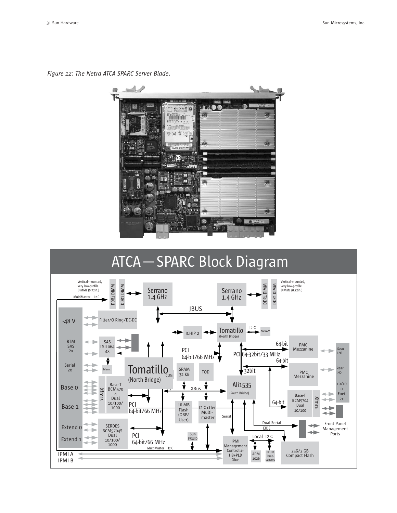*Figure 12: The Netra ATCA SPARC Server Blade.*





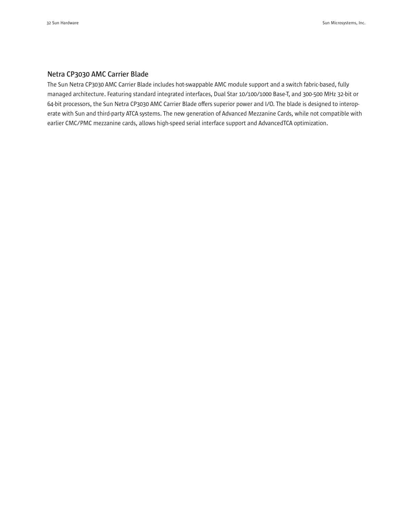## **Netra CP3030 AMC Carrier Blade**

The Sun Netra CP3030 AMC Carrier Blade includes hot-swappable AMC module support and a switch fabric-based, fully managed architecture. Featuring standard integrated interfaces, Dual Star 10/100/1000 Base-T, and 300-500 MHz 32-bit or 64-bit processors, the Sun Netra CP3030 AMC Carrier Blade offers superior power and I/O. The blade is designed to interoperate with Sun and third-party ATCA systems. The new generation of Advanced Mezzanine Cards, while not compatible with earlier CMC/PMC mezzanine cards, allows high-speed serial interface support and AdvancedTCA optimization.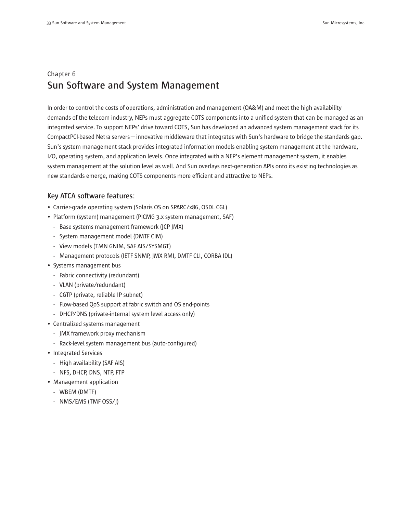# Chapter 6 **Sun Software and System Management**

In order to control the costs of operations, administration and management (OA&M) and meet the high availability demands of the telecom industry, NEPs must aggregate COTS components into a unified system that can be managed as an integrated service. To support NEPs' drive toward COTS, Sun has developed an advanced system management stack for its CompactPCI-based Netra servers—innovative middleware that integrates with Sun's hardware to bridge the standards gap. Sun's system management stack provides integrated information models enabling system management at the hardware, I/O, operating system, and application levels. Once integrated with a NEP's element management system, it enables system management at the solution level as well. And Sun overlays next-generation APIs onto its existing technologies as new standards emerge, making COTS components more efficient and attractive to NEPs.

# **Key ATCA software features:**

- Carrier-grade operating system (Solaris OS on SPARC/x86, OSDL CGL)
- Platform (system) management (PICMG 3.x system management, SAF)
	- Base systems management framework (JCP JMX)
	- System management model (DMTF CIM)
	- View models (TMN GNIM, SAF AIS/SYSMGT)
	- Management protocols (IETF SNMP, JMX RMI, DMTF CLI, CORBA IDL)
- Systems management bus
	- Fabric connectivity (redundant)
	- VLAN (private/redundant)
	- CGTP (private, reliable IP subnet)
	- Flow-based QoS support at fabric switch and OS end-points
	- DHCP/DNS (private-internal system level access only)
- Centralized systems management
	- JMX framework proxy mechanism
	- Rack-level system management bus (auto-configured)
- Integrated Services
	- High availability (SAF AIS)
	- NFS, DHCP, DNS, NTP, FTP
- Management application
	- WBEM (DMTF)
	- NMS/EMS (TMF OSS/J)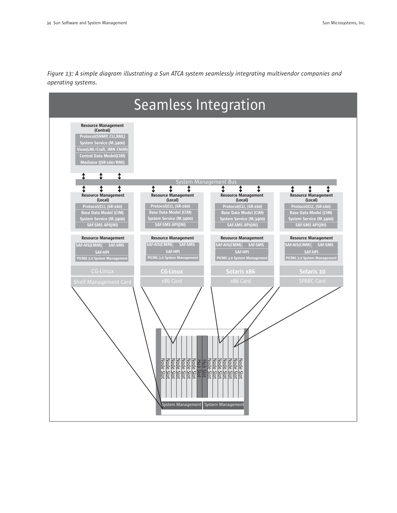

*Figure 13: A simple diagram illustrating a Sun ATCA system seamlessly integrating multivendor companies and operating systems.*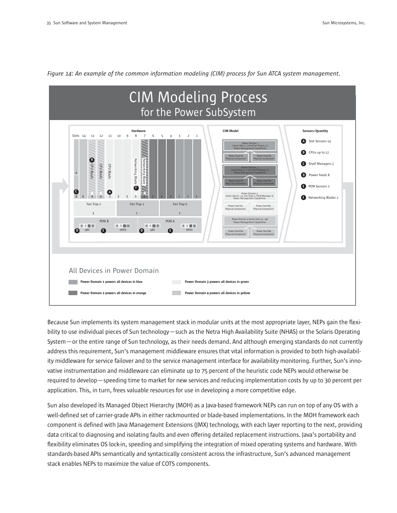

*Figure 14: An example of the common information modeling (CIM) process for Sun ATCA system management.*

Because Sun implements its system management stack in modular units at the most appropriate layer, NEPs gain the flexibility to use individual pieces of Sun technology—such as the Netra High Availability Suite (NHAS) or the Solaris Operating System—or the entire range of Sun technology, as their needs demand. And although emerging standards do not currently address this requirement, Sun's management middleware ensures that vital information is provided to both high-availability middleware for service failover and to the service management interface for availability monitoring. Further, Sun's innovative instrumentation and middleware can eliminate up to 75 percent of the heuristic code NEPs would otherwise be required to develop—speeding time to market for new services and reducing implementation costs by up to 30 percent per application. This, in turn, frees valuable resources for use in developing a more competitive edge.

Sun also developed its Managed Object Hierarchy (MOH) as a Java-based framework NEPs can run on top of any OS with a well-defined set of carrier-grade APIs in either rackmounted or blade-based implementations. In the MOH framework each component is defined with Java Management Extensions (JMX) technology, with each layer reporting to the next, providing data critical to diagnosing and isolating faults and even offering detailed replacement instructions. Java's portability and flexibility eliminates OS lock-in, speeding and simplifying the integration of mixed operating systems and hardware. With standards-based APIs semantically and syntactically consistent across the infrastructure, Sun's advanced management stack enables NEPs to maximize the value of COTS components.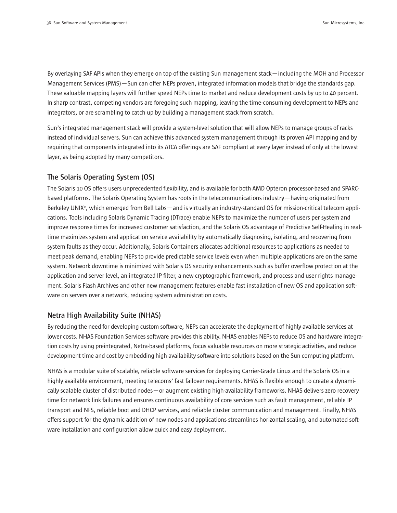By overlaying SAF APIs when they emerge on top of the existing Sun management stack—including the MOH and Processor Management Services (PMS)—Sun can offer NEPs proven, integrated information models that bridge the standards gap. These valuable mapping layers will further speed NEPs time to market and reduce development costs by up to 40 percent. In sharp contrast, competing vendors are foregoing such mapping, leaving the time-consuming development to NEPs and integrators, or are scrambling to catch up by building a management stack from scratch.

Sun's integrated management stack will provide a system-level solution that will allow NEPs to manage groups of racks instead of individual servers. Sun can achieve this advanced system management through its proven API mapping and by requiring that components integrated into its ATCA offerings are SAF compliant at every layer instead of only at the lowest layer, as being adopted by many competitors.

## **The Solaris Operating System (OS)**

The Solaris 10 OS offers users unprecedented flexibility, and is available for both AMD Opteron processor-based and SPARCbased platforms. The Solaris Operating System has roots in the telecommunications industry—having originated from Berkeley UNIX®, which emerged from Bell Labs—and is virtually an industry-standard OS for mission-critical telecom applications. Tools including Solaris Dynamic Tracing (DTrace) enable NEPs to maximize the number of users per system and improve response times for increased customer satisfaction, and the Solaris OS advantage of Predictive Self-Healing in realtime maximizes system and application service availability by automatically diagnosing, isolating, and recovering from system faults as they occur. Additionally, Solaris Containers allocates additional resources to applications as needed to meet peak demand, enabling NEPs to provide predictable service levels even when multiple applications are on the same system. Network downtime is minimized with Solaris OS security enhancements such as buffer overflow protection at the application and server level, an integrated IP filter, a new cryptographic framework, and process and user rights management. Solaris Flash Archives and other new management features enable fast installation of new OS and application software on servers over a network, reducing system administration costs.

## **Netra High Availability Suite (NHAS)**

By reducing the need for developing custom software, NEPs can accelerate the deployment of highly available services at lower costs. NHAS Foundation Services software provides this ability. NHAS enables NEPs to reduce OS and hardware integration costs by using preintegrated, Netra-based platforms, focus valuable resources on more strategic activities, and reduce development time and cost by embedding high availability software into solutions based on the Sun computing platform.

NHAS is a modular suite of scalable, reliable software services for deploying Carrier-Grade Linux and the Solaris OS in a highly available environment, meeting telecoms' fast failover requirements. NHAS is flexible enough to create a dynamically scalable cluster of distributed nodes—or augment existing high-availability frameworks. NHAS delivers zero recovery time for network link failures and ensures continuous availability of core services such as fault management, reliable IP transport and NFS, reliable boot and DHCP services, and reliable cluster communication and management. Finally, NHAS offers support for the dynamic addition of new nodes and applications streamlines horizontal scaling, and automated software installation and configuration allow quick and easy deployment.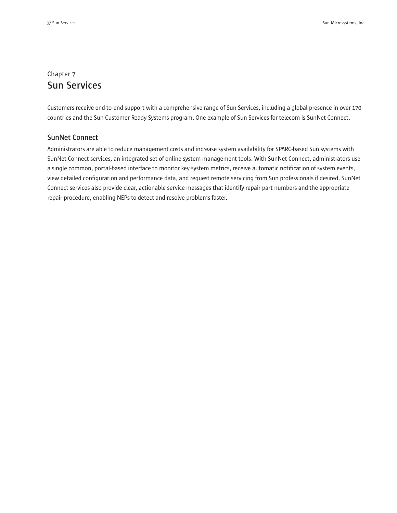# Chapter 7 **Sun Services**

Customers receive end-to-end support with a comprehensive range of Sun Services, including a global presence in over 170 countries and the Sun Customer Ready Systems program. One example of Sun Services for telecom is SunNet Connect.

### **SunNet Connect**

Administrators are able to reduce management costs and increase system availability for SPARC-based Sun systems with SunNet Connect services, an integrated set of online system management tools. With SunNet Connect, administrators use a single common, portal-based interface to monitor key system metrics, receive automatic notification of system events, view detailed configuration and performance data, and request remote servicing from Sun professionals if desired. SunNet Connect services also provide clear, actionable service messages that identify repair part numbers and the appropriate repair procedure, enabling NEPs to detect and resolve problems faster.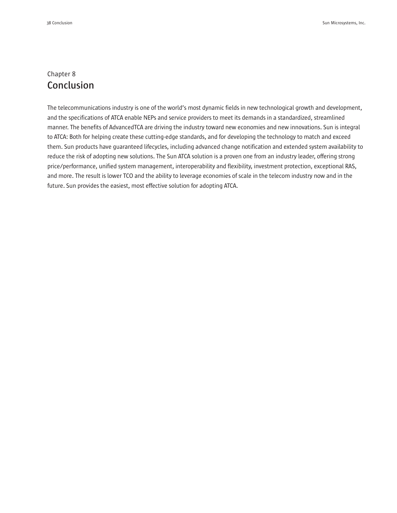# Chapter 8 **Conclusion**

The telecommunications industry is one of the world's most dynamic fields in new technological growth and development, and the specifications of ATCA enable NEPs and service providers to meet its demands in a standardized, streamlined manner. The benefits of AdvancedTCA are driving the industry toward new economies and new innovations. Sun is integral to ATCA: Both for helping create these cutting-edge standards, and for developing the technology to match and exceed them. Sun products have guaranteed lifecycles, including advanced change notification and extended system availability to reduce the risk of adopting new solutions. The Sun ATCA solution is a proven one from an industry leader, offering strong price/performance, unified system management, interoperability and flexibility, investment protection, exceptional RAS, and more. The result is lower TCO and the ability to leverage economies of scale in the telecom industry now and in the future. Sun provides the easiest, most effective solution for adopting ATCA.